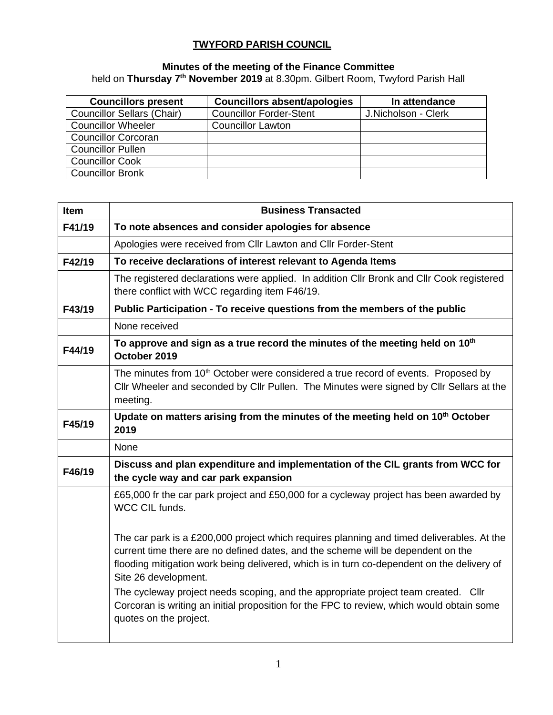## **TWYFORD PARISH COUNCIL**

## **Minutes of the meeting of the Finance Committee** held on **Thursday 7 th November 2019** at 8.30pm. Gilbert Room, Twyford Parish Hall

| <b>Councillors present</b>        | <b>Councillors absent/apologies</b> | In attendance       |  |  |
|-----------------------------------|-------------------------------------|---------------------|--|--|
| <b>Councillor Sellars (Chair)</b> | <b>Councillor Forder-Stent</b>      | J.Nicholson - Clerk |  |  |
| <b>Councillor Wheeler</b>         | <b>Councillor Lawton</b>            |                     |  |  |
| <b>Councillor Corcoran</b>        |                                     |                     |  |  |
| <b>Councillor Pullen</b>          |                                     |                     |  |  |
| <b>Councillor Cook</b>            |                                     |                     |  |  |
| <b>Councillor Bronk</b>           |                                     |                     |  |  |

| <b>Item</b> | <b>Business Transacted</b>                                                                                                                                                                                                                                                                                                                                                                                                                                                                                       |  |  |  |  |  |
|-------------|------------------------------------------------------------------------------------------------------------------------------------------------------------------------------------------------------------------------------------------------------------------------------------------------------------------------------------------------------------------------------------------------------------------------------------------------------------------------------------------------------------------|--|--|--|--|--|
| F41/19      | To note absences and consider apologies for absence                                                                                                                                                                                                                                                                                                                                                                                                                                                              |  |  |  |  |  |
|             | Apologies were received from Cllr Lawton and Cllr Forder-Stent                                                                                                                                                                                                                                                                                                                                                                                                                                                   |  |  |  |  |  |
| F42/19      | To receive declarations of interest relevant to Agenda Items                                                                                                                                                                                                                                                                                                                                                                                                                                                     |  |  |  |  |  |
|             | The registered declarations were applied. In addition Cllr Bronk and Cllr Cook registered<br>there conflict with WCC regarding item F46/19.                                                                                                                                                                                                                                                                                                                                                                      |  |  |  |  |  |
| F43/19      | Public Participation - To receive questions from the members of the public                                                                                                                                                                                                                                                                                                                                                                                                                                       |  |  |  |  |  |
|             | None received                                                                                                                                                                                                                                                                                                                                                                                                                                                                                                    |  |  |  |  |  |
| F44/19      | To approve and sign as a true record the minutes of the meeting held on 10 <sup>th</sup><br>October 2019                                                                                                                                                                                                                                                                                                                                                                                                         |  |  |  |  |  |
|             | The minutes from 10 <sup>th</sup> October were considered a true record of events. Proposed by<br>Cllr Wheeler and seconded by Cllr Pullen. The Minutes were signed by Cllr Sellars at the<br>meeting.                                                                                                                                                                                                                                                                                                           |  |  |  |  |  |
| F45/19      | Update on matters arising from the minutes of the meeting held on 10 <sup>th</sup> October<br>2019                                                                                                                                                                                                                                                                                                                                                                                                               |  |  |  |  |  |
|             | None                                                                                                                                                                                                                                                                                                                                                                                                                                                                                                             |  |  |  |  |  |
| F46/19      | Discuss and plan expenditure and implementation of the CIL grants from WCC for<br>the cycle way and car park expansion                                                                                                                                                                                                                                                                                                                                                                                           |  |  |  |  |  |
|             | £65,000 fr the car park project and £50,000 for a cycleway project has been awarded by<br>WCC CIL funds.                                                                                                                                                                                                                                                                                                                                                                                                         |  |  |  |  |  |
|             | The car park is a £200,000 project which requires planning and timed deliverables. At the<br>current time there are no defined dates, and the scheme will be dependent on the<br>flooding mitigation work being delivered, which is in turn co-dependent on the delivery of<br>Site 26 development.<br>The cycleway project needs scoping, and the appropriate project team created. Cllr<br>Corcoran is writing an initial proposition for the FPC to review, which would obtain some<br>quotes on the project. |  |  |  |  |  |
|             |                                                                                                                                                                                                                                                                                                                                                                                                                                                                                                                  |  |  |  |  |  |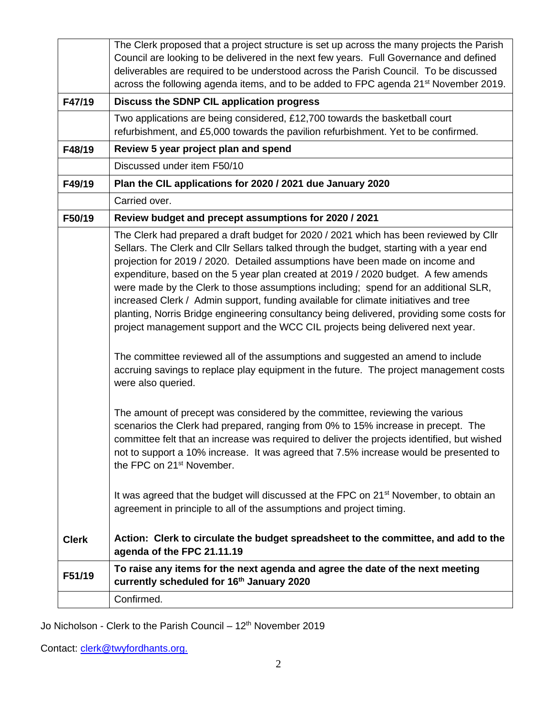|              | The Clerk proposed that a project structure is set up across the many projects the Parish                                                                                                                                                                                                                                                                                                                                                                                                                                                                                                                                                                                                                           |  |  |  |  |  |
|--------------|---------------------------------------------------------------------------------------------------------------------------------------------------------------------------------------------------------------------------------------------------------------------------------------------------------------------------------------------------------------------------------------------------------------------------------------------------------------------------------------------------------------------------------------------------------------------------------------------------------------------------------------------------------------------------------------------------------------------|--|--|--|--|--|
|              | Council are looking to be delivered in the next few years. Full Governance and defined                                                                                                                                                                                                                                                                                                                                                                                                                                                                                                                                                                                                                              |  |  |  |  |  |
|              | deliverables are required to be understood across the Parish Council. To be discussed                                                                                                                                                                                                                                                                                                                                                                                                                                                                                                                                                                                                                               |  |  |  |  |  |
|              | across the following agenda items, and to be added to FPC agenda 21 <sup>st</sup> November 2019.                                                                                                                                                                                                                                                                                                                                                                                                                                                                                                                                                                                                                    |  |  |  |  |  |
| F47/19       | Discuss the SDNP CIL application progress                                                                                                                                                                                                                                                                                                                                                                                                                                                                                                                                                                                                                                                                           |  |  |  |  |  |
|              | Two applications are being considered, £12,700 towards the basketball court                                                                                                                                                                                                                                                                                                                                                                                                                                                                                                                                                                                                                                         |  |  |  |  |  |
|              | refurbishment, and £5,000 towards the pavilion refurbishment. Yet to be confirmed.                                                                                                                                                                                                                                                                                                                                                                                                                                                                                                                                                                                                                                  |  |  |  |  |  |
| F48/19       | Review 5 year project plan and spend                                                                                                                                                                                                                                                                                                                                                                                                                                                                                                                                                                                                                                                                                |  |  |  |  |  |
|              | Discussed under item F50/10                                                                                                                                                                                                                                                                                                                                                                                                                                                                                                                                                                                                                                                                                         |  |  |  |  |  |
| F49/19       | Plan the CIL applications for 2020 / 2021 due January 2020                                                                                                                                                                                                                                                                                                                                                                                                                                                                                                                                                                                                                                                          |  |  |  |  |  |
|              | Carried over.                                                                                                                                                                                                                                                                                                                                                                                                                                                                                                                                                                                                                                                                                                       |  |  |  |  |  |
| F50/19       | Review budget and precept assumptions for 2020 / 2021                                                                                                                                                                                                                                                                                                                                                                                                                                                                                                                                                                                                                                                               |  |  |  |  |  |
|              | The Clerk had prepared a draft budget for 2020 / 2021 which has been reviewed by Cllr<br>Sellars. The Clerk and Cllr Sellars talked through the budget, starting with a year end<br>projection for 2019 / 2020. Detailed assumptions have been made on income and<br>expenditure, based on the 5 year plan created at 2019 / 2020 budget. A few amends<br>were made by the Clerk to those assumptions including; spend for an additional SLR,<br>increased Clerk / Admin support, funding available for climate initiatives and tree<br>planting, Norris Bridge engineering consultancy being delivered, providing some costs for<br>project management support and the WCC CIL projects being delivered next year. |  |  |  |  |  |
|              | The committee reviewed all of the assumptions and suggested an amend to include<br>accruing savings to replace play equipment in the future. The project management costs<br>were also queried.                                                                                                                                                                                                                                                                                                                                                                                                                                                                                                                     |  |  |  |  |  |
|              | The amount of precept was considered by the committee, reviewing the various<br>scenarios the Clerk had prepared, ranging from 0% to 15% increase in precept. The<br>committee felt that an increase was required to deliver the projects identified, but wished<br>not to support a 10% increase. It was agreed that 7.5% increase would be presented to<br>the FPC on 21 <sup>st</sup> November.                                                                                                                                                                                                                                                                                                                  |  |  |  |  |  |
|              | It was agreed that the budget will discussed at the FPC on 21 <sup>st</sup> November, to obtain an<br>agreement in principle to all of the assumptions and project timing.                                                                                                                                                                                                                                                                                                                                                                                                                                                                                                                                          |  |  |  |  |  |
| <b>Clerk</b> | Action: Clerk to circulate the budget spreadsheet to the committee, and add to the<br>agenda of the FPC 21.11.19                                                                                                                                                                                                                                                                                                                                                                                                                                                                                                                                                                                                    |  |  |  |  |  |
| F51/19       | To raise any items for the next agenda and agree the date of the next meeting<br>currently scheduled for 16th January 2020                                                                                                                                                                                                                                                                                                                                                                                                                                                                                                                                                                                          |  |  |  |  |  |
|              | Confirmed.                                                                                                                                                                                                                                                                                                                                                                                                                                                                                                                                                                                                                                                                                                          |  |  |  |  |  |
|              |                                                                                                                                                                                                                                                                                                                                                                                                                                                                                                                                                                                                                                                                                                                     |  |  |  |  |  |

Jo Nicholson - Clerk to the Parish Council – 12<sup>th</sup> November 2019

Contact: [clerk@twyf](mailto:clerk@twy)ordhants.org.